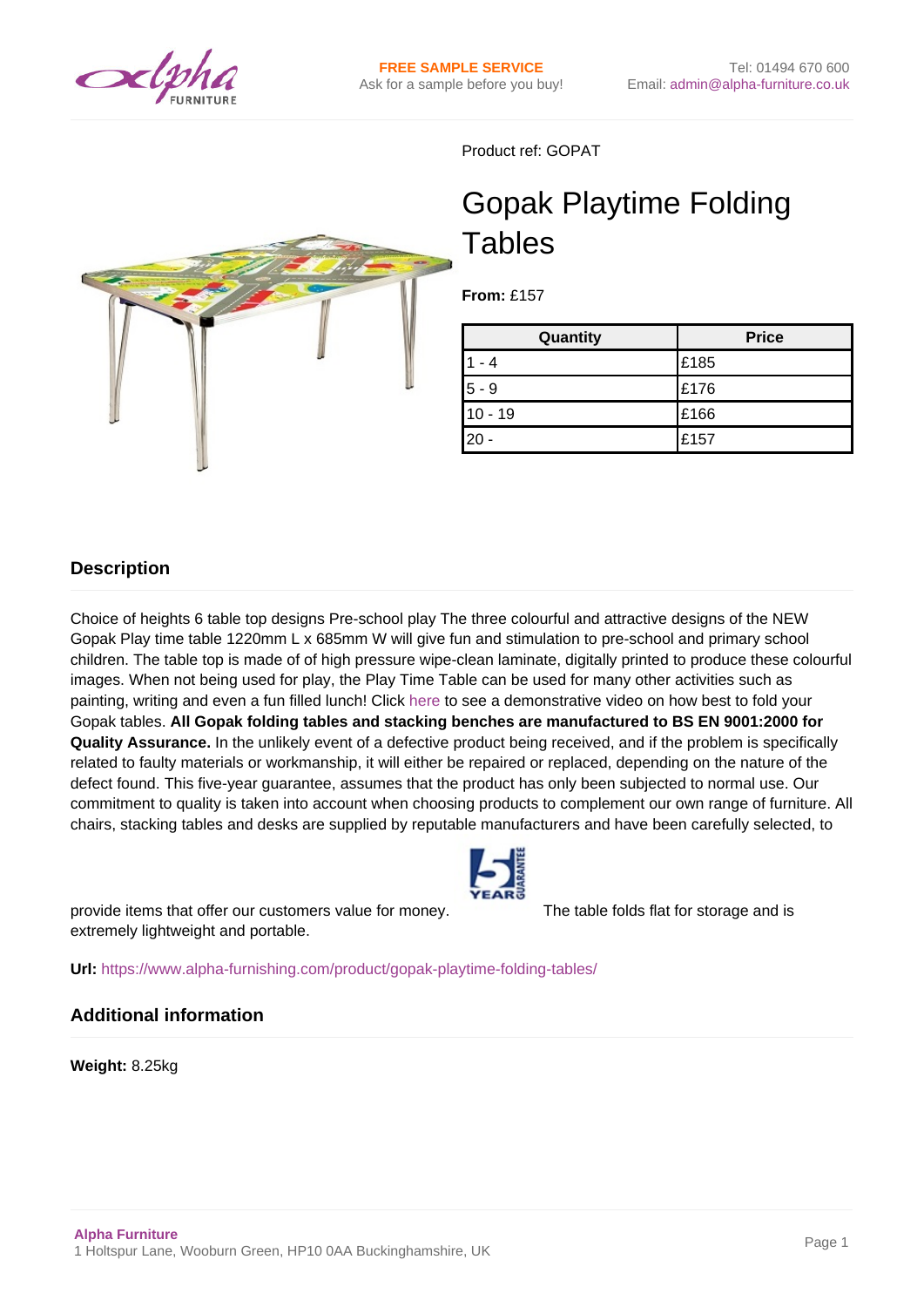

Product ref: GOPAT

# Gopak Playtime Folding **Tables**

**From:** £157

| Quantity  | <b>Price</b> |
|-----------|--------------|
| l 1       | E185         |
| $5 - 9$   | £176         |
| $10 - 19$ | E166         |
| 20        | £157         |

# **Description**

Choice of heights 6 table top designs Pre-school play The three colourful and attractive designs of the NEW Gopak Play time table 1220mm L x 685mm W will give fun and stimulation to pre-school and primary school children. The table top is made of of high pressure wipe-clean laminate, digitally printed to produce these colourful images. When not being used for play, the Play Time Table can be used for many other activities such as painting, writing and even a fun filled lunch! Click [here](http://youtu.be/UhnXgfaUHPc) to see a demonstrative video on how best to fold your Gopak tables. **All Gopak folding tables and stacking benches are manufactured to BS EN 9001:2000 for Quality Assurance.** In the unlikely event of a defective product being received, and if the problem is specifically related to faulty materials or workmanship, it will either be repaired or replaced, depending on the nature of the defect found. This five-year guarantee, assumes that the product has only been subjected to normal use. Our commitment to quality is taken into account when choosing products to complement our own range of furniture. All chairs, stacking tables and desks are supplied by reputable manufacturers and have been carefully selected, to

provide items that offer our customers value for money. The table folds flat for storage and is extremely lightweight and portable.

**Url:** <https://www.alpha-furnishing.com/product/gopak-playtime-folding-tables/>

### **Additional information**

**Weight:** 8.25kg